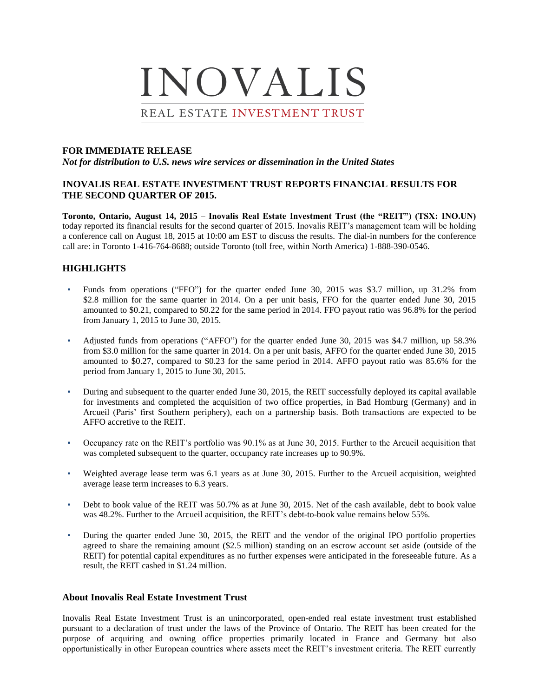# INOVALIS REAL ESTATE INVESTMENT TRUST

#### **FOR IMMEDIATE RELEASE**

*Not for distribution to U.S. news wire services or dissemination in the United States*

#### **INOVALIS REAL ESTATE INVESTMENT TRUST REPORTS FINANCIAL RESULTS FOR THE SECOND QUARTER OF 2015.**

**Toronto, Ontario, August 14, 2015** – **Inovalis Real Estate Investment Trust (the "REIT") (TSX: INO.UN)**  today reported its financial results for the second quarter of 2015. Inovalis REIT's management team will be holding a conference call on August 18, 2015 at 10:00 am EST to discuss the results. The dial-in numbers for the conference call are: in Toronto 1-416-764-8688; outside Toronto (toll free, within North America) 1-888-390-0546.

### **HIGHLIGHTS**

- Funds from operations ("FFO") for the quarter ended June 30, 2015 was \$3.7 million, up 31.2% from \$2.8 million for the same quarter in 2014. On a per unit basis, FFO for the quarter ended June 30, 2015 amounted to \$0.21, compared to \$0.22 for the same period in 2014. FFO payout ratio was 96.8% for the period from January 1, 2015 to June 30, 2015.
- Adjusted funds from operations ("AFFO") for the quarter ended June 30, 2015 was \$4.7 million, up 58.3% from \$3.0 million for the same quarter in 2014. On a per unit basis, AFFO for the quarter ended June 30, 2015 amounted to \$0.27, compared to \$0.23 for the same period in 2014. AFFO payout ratio was 85.6% for the period from January 1, 2015 to June 30, 2015.
- During and subsequent to the quarter ended June 30, 2015, the REIT successfully deployed its capital available for investments and completed the acquisition of two office properties, in Bad Homburg (Germany) and in Arcueil (Paris' first Southern periphery), each on a partnership basis. Both transactions are expected to be AFFO accretive to the REIT.
- Occupancy rate on the REIT's portfolio was 90.1% as at June 30, 2015. Further to the Arcueil acquisition that was completed subsequent to the quarter, occupancy rate increases up to 90.9%.
- Weighted average lease term was 6.1 years as at June 30, 2015. Further to the Arcueil acquisition, weighted average lease term increases to 6.3 years.
- Debt to book value of the REIT was 50.7% as at June 30, 2015. Net of the cash available, debt to book value was 48.2%. Further to the Arcueil acquisition, the REIT's debt-to-book value remains below 55%.
- During the quarter ended June 30, 2015, the REIT and the vendor of the original IPO portfolio properties agreed to share the remaining amount (\$2.5 million) standing on an escrow account set aside (outside of the REIT) for potential capital expenditures as no further expenses were anticipated in the foreseeable future. As a result, the REIT cashed in \$1.24 million.

#### **About Inovalis Real Estate Investment Trust**

Inovalis Real Estate Investment Trust is an unincorporated, open-ended real estate investment trust established pursuant to a declaration of trust under the laws of the Province of Ontario. The REIT has been created for the purpose of acquiring and owning office properties primarily located in France and Germany but also opportunistically in other European countries where assets meet the REIT's investment criteria. The REIT currently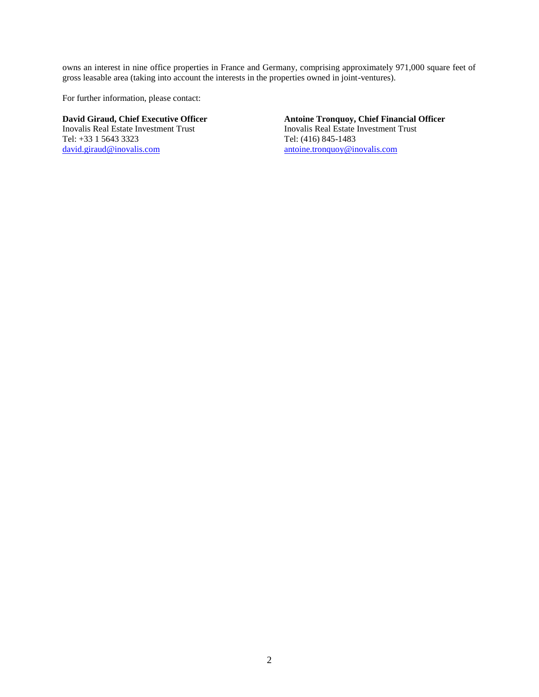owns an interest in nine office properties in France and Germany, comprising approximately 971,000 square feet of gross leasable area (taking into account the interests in the properties owned in joint-ventures).

For further information, please contact:

Inovalis Real Estate Investment Trust Inovalis Real Estate<br>
Tel:  $+33$  1 5643 3323 Tel: (416) 845-1483 Tel: +33 1 5643 3323 [david.giraud@inovalis.com](mailto:david.giraud@inovalis.com) [antoine.tronquoy@inovalis.com](mailto:antoine.tronquoy@inovalis.com)

## **David Giraud, Chief Executive Officer**<br> **Antoine Tronquoy, Chief Financial Officer**<br> **Antoine Tronquoy, Chief Financial Officer**<br> **Antoine Tronquoy, Chief Financial Officer**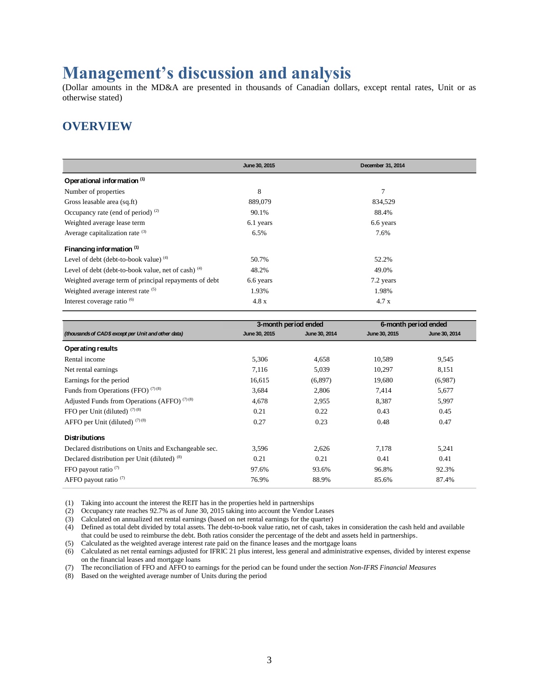## **Management's discussion and analysis**

(Dollar amounts in the MD&A are presented in thousands of Canadian dollars, except rental rates, Unit or as otherwise stated)

## **OVERVIEW**

|                                                       | June 30, 2015 | December 31, 2014 |
|-------------------------------------------------------|---------------|-------------------|
| Operational information <sup>(1)</sup>                |               |                   |
| Number of properties                                  | 8             | 7                 |
| Gross leasable area (sq.ft)                           | 889,079       | 834,529           |
| Occupancy rate (end of period) $(2)$                  | 90.1%         | 88.4%             |
| Weighted average lease term                           | 6.1 years     | 6.6 years         |
| Average capitalization rate $(3)$                     | 6.5%          | 7.6%              |
| Financing information (1)                             |               |                   |
| Level of debt (debt-to-book value) $(4)$              | 50.7%         | 52.2%             |
| Level of debt (debt-to-book value, net of cash) $(4)$ | 48.2%         | 49.0%             |
| Weighted average term of principal repayments of debt | 6.6 years     | 7.2 years         |
| Weighted average interest rate (5)                    | 1.93%         | 1.98%             |
| Interest coverage ratio <sup>(6)</sup>                | 4.8 x         | 4.7 x             |

|                                                       | 3-month period ended |               |               | 6-month period ended |
|-------------------------------------------------------|----------------------|---------------|---------------|----------------------|
| (thousands of CAD\$ except per Unit and other data)   | June 30, 2015        | June 30, 2014 | June 30, 2015 | June 30, 2014        |
| Operating results                                     |                      |               |               |                      |
| Rental income                                         | 5,306                | 4,658         | 10,589        | 9,545                |
| Net rental earnings                                   | 7,116                | 5,039         | 10,297        | 8,151                |
| Earnings for the period                               | 16,615               | (6,897)       | 19,680        | (6,987)              |
| Funds from Operations (FFO) $(7)(8)$                  | 3,684                | 2,806         | 7,414         | 5,677                |
| Adjusted Funds from Operations (AFFO) $(7)(8)$        | 4,678                | 2,955         | 8,387         | 5,997                |
| FFO per Unit (diluted) $(7)(8)$                       | 0.21                 | 0.22          | 0.43          | 0.45                 |
| AFFO per Unit (diluted) $(7)(8)$                      | 0.27                 | 0.23          | 0.48          | 0.47                 |
| <b>Distributions</b>                                  |                      |               |               |                      |
| Declared distributions on Units and Exchangeable sec. | 3,596                | 2,626         | 7,178         | 5,241                |
| Declared distribution per Unit (diluted) (8)          | 0.21                 | 0.21          | 0.41          | 0.41                 |
| FFO payout ratio $(7)$                                | 97.6%                | 93.6%         | 96.8%         | 92.3%                |
| AFFO payout ratio $(7)$                               | 76.9%                | 88.9%         | 85.6%         | 87.4%                |

(1) Taking into account the interest the REIT has in the properties held in partnerships

(2) Occupancy rate reaches 92.7% as of June 30, 2015 taking into account the Vendor Leases

(3) Calculated on annualized net rental earnings (based on net rental earnings for the quarter)

(4) Defined as total debt divided by total assets. The debt-to-book value ratio, net of cash, takes in consideration the cash held and available that could be used to reimburse the debt. Both ratios consider the percentage of the debt and assets held in partnerships.

(5) Calculated as the weighted average interest rate paid on the finance leases and the mortgage loans

(6) Calculated as net rental earnings adjusted for IFRIC 21 plus interest, less general and administrative expenses, divided by interest expense on the financial leases and mortgage loans

(7) The reconciliation of FFO and AFFO to earnings for the period can be found under the section *Non-IFRS Financial Measures*

(8) Based on the weighted average number of Units during the period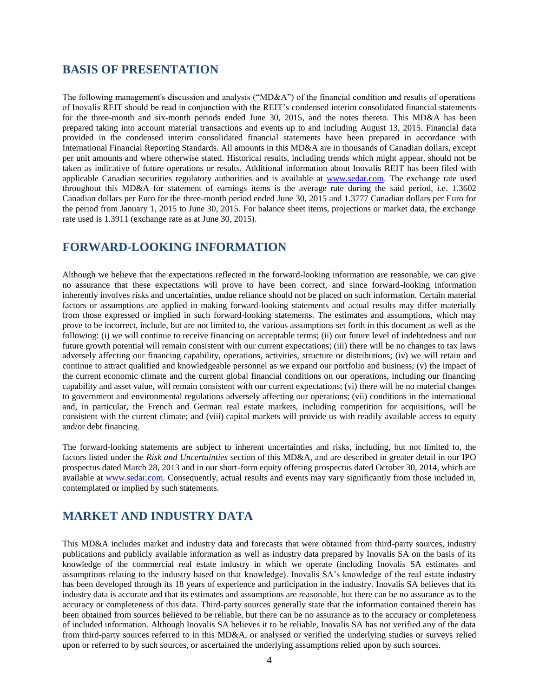### **BASIS OF PRESENTATION**

The following management's discussion and analysis ("MD&A") of the financial condition and results of operations of Inovalis REIT should be read in conjunction with the REIT's condensed interim consolidated financial statements for the three-month and six-month periods ended June 30, 2015, and the notes thereto. This MD&A has been prepared taking into account material transactions and events up to and including August 13, 2015. Financial data provided in the condensed interim consolidated financial statements have been prepared in accordance with International Financial Reporting Standards. All amounts in this MD&A are in thousands of Canadian dollars, except per unit amounts and where otherwise stated. Historical results, including trends which might appear, should not be taken as indicative of future operations or results. Additional information about Inovalis REIT has been filed with applicable Canadian securities regulatory authorities and is available at [www.sedar.com.](http://www.sedar.com/) The exchange rate used throughout this MD&A for statement of earnings items is the average rate during the said period, i.e. 1.3602 Canadian dollars per Euro for the three-month period ended June 30, 2015 and 1.3777 Canadian dollars per Euro for the period from January 1, 2015 to June 30, 2015. For balance sheet items, projections or market data, the exchange rate used is 1.3911 (exchange rate as at June 30, 2015).

## **FORWARD-LOOKING INFORMATION**

Although we believe that the expectations reflected in the forward-looking information are reasonable, we can give no assurance that these expectations will prove to have been correct, and since forward-looking information inherently involves risks and uncertainties, undue reliance should not be placed on such information. Certain material factors or assumptions are applied in making forward-looking statements and actual results may differ materially from those expressed or implied in such forward-looking statements. The estimates and assumptions, which may prove to be incorrect, include, but are not limited to, the various assumptions set forth in this document as well as the following: (i) we will continue to receive financing on acceptable terms; (ii) our future level of indebtedness and our future growth potential will remain consistent with our current expectations; (iii) there will be no changes to tax laws adversely affecting our financing capability, operations, activities, structure or distributions; (iv) we will retain and continue to attract qualified and knowledgeable personnel as we expand our portfolio and business; (v) the impact of the current economic climate and the current global financial conditions on our operations, including our financing capability and asset value, will remain consistent with our current expectations; (vi) there will be no material changes to government and environmental regulations adversely affecting our operations; (vii) conditions in the international and, in particular, the French and German real estate markets, including competition for acquisitions, will be consistent with the current climate; and (viii) capital markets will provide us with readily available access to equity and/or debt financing.

The forward-looking statements are subject to inherent uncertainties and risks, including, but not limited to, the factors listed under the *Risk and Uncertainties* section of this MD&A, and are described in greater detail in our IPO prospectus dated March 28, 2013 and in our short-form equity offering prospectus dated October 30, 2014, which are available at [www.sedar.com.](http://www.sedar.com/) Consequently, actual results and events may vary significantly from those included in, contemplated or implied by such statements.

## **MARKET AND INDUSTRY DATA**

This MD&A includes market and industry data and forecasts that were obtained from third-party sources, industry publications and publicly available information as well as industry data prepared by Inovalis SA on the basis of its knowledge of the commercial real estate industry in which we operate (including Inovalis SA estimates and assumptions relating to the industry based on that knowledge). Inovalis SA's knowledge of the real estate industry has been developed through its 18 years of experience and participation in the industry. Inovalis SA believes that its industry data is accurate and that its estimates and assumptions are reasonable, but there can be no assurance as to the accuracy or completeness of this data. Third-party sources generally state that the information contained therein has been obtained from sources believed to be reliable, but there can be no assurance as to the accuracy or completeness of included information. Although Inovalis SA believes it to be reliable, Inovalis SA has not verified any of the data from third-party sources referred to in this MD&A, or analysed or verified the underlying studies or surveys relied upon or referred to by such sources, or ascertained the underlying assumptions relied upon by such sources.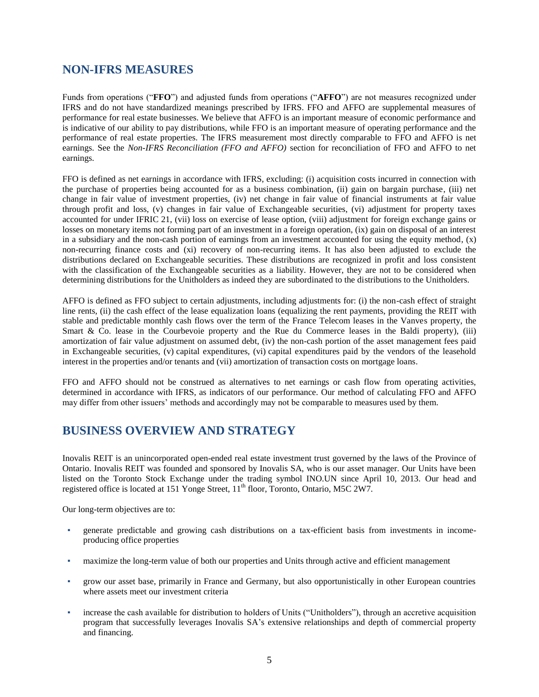## **NON-IFRS MEASURES**

Funds from operations ("**FFO**") and adjusted funds from operations ("**AFFO**") are not measures recognized under IFRS and do not have standardized meanings prescribed by IFRS. FFO and AFFO are supplemental measures of performance for real estate businesses. We believe that AFFO is an important measure of economic performance and is indicative of our ability to pay distributions, while FFO is an important measure of operating performance and the performance of real estate properties. The IFRS measurement most directly comparable to FFO and AFFO is net earnings. See the *Non-IFRS Reconciliation (FFO and AFFO)* section for reconciliation of FFO and AFFO to net earnings.

FFO is defined as net earnings in accordance with IFRS, excluding: (i) acquisition costs incurred in connection with the purchase of properties being accounted for as a business combination, (ii) gain on bargain purchase, (iii) net change in fair value of investment properties, (iv) net change in fair value of financial instruments at fair value through profit and loss, (v) changes in fair value of Exchangeable securities, (vi) adjustment for property taxes accounted for under IFRIC 21, (vii) loss on exercise of lease option, (viii) adjustment for foreign exchange gains or losses on monetary items not forming part of an investment in a foreign operation, (ix) gain on disposal of an interest in a subsidiary and the non-cash portion of earnings from an investment accounted for using the equity method,  $(x)$ non-recurring finance costs and (xi) recovery of non-recurring items. It has also been adjusted to exclude the distributions declared on Exchangeable securities. These distributions are recognized in profit and loss consistent with the classification of the Exchangeable securities as a liability. However, they are not to be considered when determining distributions for the Unitholders as indeed they are subordinated to the distributions to the Unitholders.

AFFO is defined as FFO subject to certain adjustments, including adjustments for: (i) the non-cash effect of straight line rents, (ii) the cash effect of the lease equalization loans (equalizing the rent payments, providing the REIT with stable and predictable monthly cash flows over the term of the France Telecom leases in the Vanves property, the Smart & Co. lease in the Courbevoie property and the Rue du Commerce leases in the Baldi property), (iii) amortization of fair value adjustment on assumed debt, (iv) the non-cash portion of the asset management fees paid in Exchangeable securities, (v) capital expenditures, (vi) capital expenditures paid by the vendors of the leasehold interest in the properties and/or tenants and (vii) amortization of transaction costs on mortgage loans.

FFO and AFFO should not be construed as alternatives to net earnings or cash flow from operating activities, determined in accordance with IFRS, as indicators of our performance. Our method of calculating FFO and AFFO may differ from other issuers' methods and accordingly may not be comparable to measures used by them.

## **BUSINESS OVERVIEW AND STRATEGY**

Inovalis REIT is an unincorporated open-ended real estate investment trust governed by the laws of the Province of Ontario. Inovalis REIT was founded and sponsored by Inovalis SA, who is our asset manager. Our Units have been listed on the Toronto Stock Exchange under the trading symbol INO.UN since April 10, 2013. Our head and registered office is located at 151 Yonge Street, 11<sup>th</sup> floor, Toronto, Ontario, M5C 2W7.

Our long-term objectives are to:

- generate predictable and growing cash distributions on a tax-efficient basis from investments in incomeproducing office properties
- maximize the long-term value of both our properties and Units through active and efficient management
- grow our asset base, primarily in France and Germany, but also opportunistically in other European countries where assets meet our investment criteria
- increase the cash available for distribution to holders of Units ("Unitholders"), through an accretive acquisition program that successfully leverages Inovalis SA's extensive relationships and depth of commercial property and financing.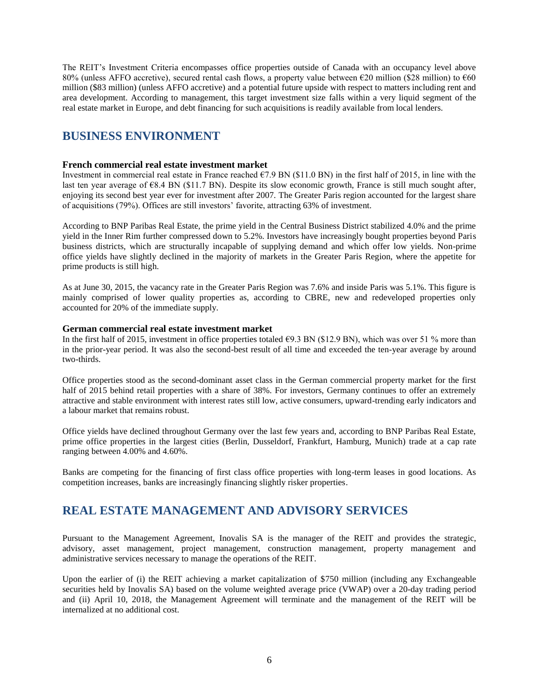The REIT's Investment Criteria encompasses office properties outside of Canada with an occupancy level above 80% (unless AFFO accretive), secured rental cash flows, a property value between €20 million (\$28 million) to €60 million (\$83 million) (unless AFFO accretive) and a potential future upside with respect to matters including rent and area development. According to management, this target investment size falls within a very liquid segment of the real estate market in Europe, and debt financing for such acquisitions is readily available from local lenders.

## **BUSINESS ENVIRONMENT**

#### **French commercial real estate investment market**

Investment in commercial real estate in France reached  $\epsilon$ 7.9 BN (\$11.0 BN) in the first half of 2015, in line with the last ten year average of €8.4 BN (\$11.7 BN). Despite its slow economic growth, France is still much sought after, enjoying its second best year ever for investment after 2007. The Greater Paris region accounted for the largest share of acquisitions (79%). Offices are still investors' favorite, attracting 63% of investment.

According to BNP Paribas Real Estate, the prime yield in the Central Business District stabilized 4.0% and the prime yield in the Inner Rim further compressed down to 5.2%. Investors have increasingly bought properties beyond Paris business districts, which are structurally incapable of supplying demand and which offer low yields. Non-prime office yields have slightly declined in the majority of markets in the Greater Paris Region, where the appetite for prime products is still high.

As at June 30, 2015, the vacancy rate in the Greater Paris Region was 7.6% and inside Paris was 5.1%. This figure is mainly comprised of lower quality properties as, according to CBRE, new and redeveloped properties only accounted for 20% of the immediate supply.

#### **German commercial real estate investment market**

In the first half of 2015, investment in office properties totaled  $\epsilon$ 9.3 BN (\$12.9 BN), which was over 51 % more than in the prior-year period. It was also the second-best result of all time and exceeded the ten-year average by around two-thirds.

Office properties stood as the second-dominant asset class in the German commercial property market for the first half of 2015 behind retail properties with a share of 38%. For investors, Germany continues to offer an extremely attractive and stable environment with interest rates still low, active consumers, upward-trending early indicators and a labour market that remains robust.

Office yields have declined throughout Germany over the last few years and, according to BNP Paribas Real Estate, prime office properties in the largest cities (Berlin, Dusseldorf, Frankfurt, Hamburg, Munich) trade at a cap rate ranging between 4.00% and 4.60%.

Banks are competing for the financing of first class office properties with long-term leases in good locations. As competition increases, banks are increasingly financing slightly risker properties.

## **REAL ESTATE MANAGEMENT AND ADVISORY SERVICES**

Pursuant to the Management Agreement, Inovalis SA is the manager of the REIT and provides the strategic, advisory, asset management, project management, construction management, property management and administrative services necessary to manage the operations of the REIT.

Upon the earlier of (i) the REIT achieving a market capitalization of \$750 million (including any Exchangeable securities held by Inovalis SA) based on the volume weighted average price (VWAP) over a 20-day trading period and (ii) April 10, 2018, the Management Agreement will terminate and the management of the REIT will be internalized at no additional cost.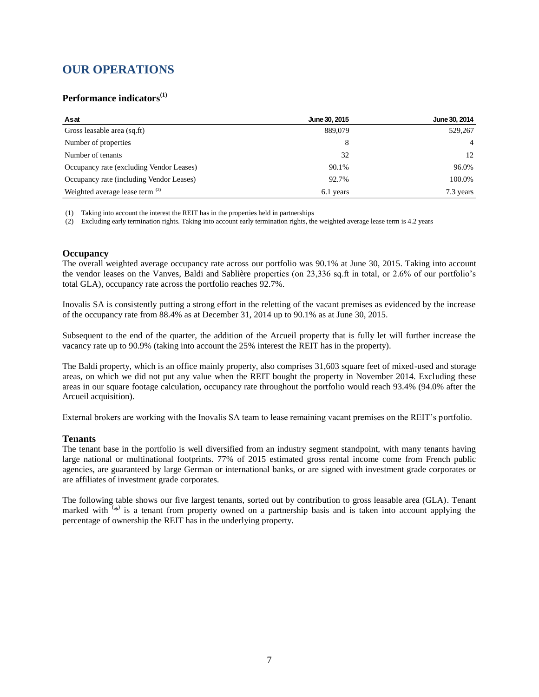## **OUR OPERATIONS**

#### **Performance indicators(1)**

| Asat                                     | June 30, 2015 | June 30, 2014  |
|------------------------------------------|---------------|----------------|
| Gross leasable area (sq.ft)              | 889,079       | 529,267        |
| Number of properties                     | 8             | $\overline{4}$ |
| Number of tenants                        | 32            | 12             |
| Occupancy rate (excluding Vendor Leases) | 90.1%         | 96.0%          |
| Occupancy rate (including Vendor Leases) | 92.7%         | 100.0%         |
| Weighted average lease term (2)          | 6.1 years     | 7.3 years      |

(1) Taking into account the interest the REIT has in the properties held in partnerships

(2) Excluding early termination rights. Taking into account early termination rights, the weighted average lease term is 4.2 years

#### **Occupancy**

The overall weighted average occupancy rate across our portfolio was 90.1% at June 30, 2015. Taking into account the vendor leases on the Vanves, Baldi and Sablière properties (on 23,336 sq.ft in total, or 2.6% of our portfolio's total GLA), occupancy rate across the portfolio reaches 92.7%.

Inovalis SA is consistently putting a strong effort in the reletting of the vacant premises as evidenced by the increase of the occupancy rate from 88.4% as at December 31, 2014 up to 90.1% as at June 30, 2015.

Subsequent to the end of the quarter, the addition of the Arcueil property that is fully let will further increase the vacancy rate up to 90.9% (taking into account the 25% interest the REIT has in the property).

The Baldi property, which is an office mainly property, also comprises 31,603 square feet of mixed-used and storage areas, on which we did not put any value when the REIT bought the property in November 2014. Excluding these areas in our square footage calculation, occupancy rate throughout the portfolio would reach 93.4% (94.0% after the Arcueil acquisition).

External brokers are working with the Inovalis SA team to lease remaining vacant premises on the REIT's portfolio.

#### **Tenants**

The tenant base in the portfolio is well diversified from an industry segment standpoint, with many tenants having large national or multinational footprints. 77% of 2015 estimated gross rental income come from French public agencies, are guaranteed by large German or international banks, or are signed with investment grade corporates or are affiliates of investment grade corporates.

The following table shows our five largest tenants, sorted out by contribution to gross leasable area (GLA). Tenant marked with  $(*)$  is a tenant from property owned on a partnership basis and is taken into account applying the percentage of ownership the REIT has in the underlying property.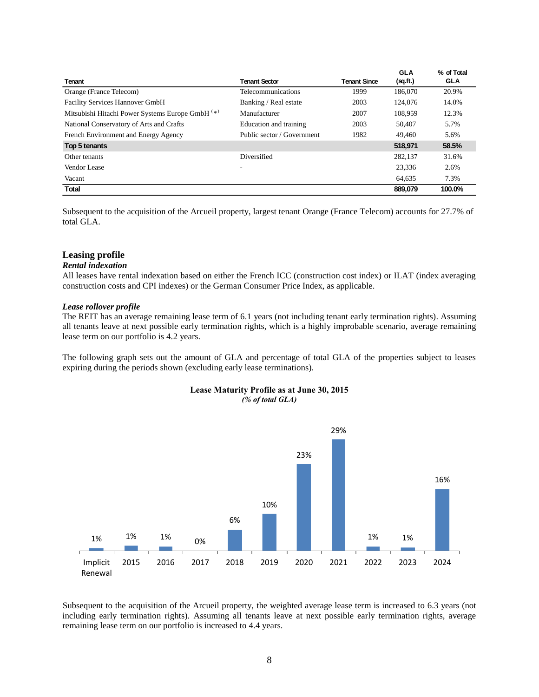| Tenant                                           | <b>Tenant Sector</b>       | <b>Tenant Since</b> | <b>GLA</b><br>(sq.ft.) | % of Total<br><b>GLA</b> |
|--------------------------------------------------|----------------------------|---------------------|------------------------|--------------------------|
| Orange (France Telecom)                          | Telecommunications         | 1999                | 186,070                | 20.9%                    |
| <b>Facility Services Hannover GmbH</b>           | Banking / Real estate      | 2003                | 124,076                | 14.0%                    |
| Mitsubishi Hitachi Power Systems Europe GmbH (*) | Manufacturer               | 2007                | 108.959                | 12.3%                    |
| National Conservatory of Arts and Crafts         | Education and training     | 2003                | 50.407                 | 5.7%                     |
| French Environment and Energy Agency             | Public sector / Government | 1982                | 49,460                 | 5.6%                     |
| Top 5 tenants                                    |                            |                     | 518,971                | 58.5%                    |
| Other tenants                                    | Diversified                |                     | 282.137                | 31.6%                    |
| Vendor Lease                                     | ۰                          |                     | 23,336                 | 2.6%                     |
| Vacant                                           |                            |                     | 64,635                 | 7.3%                     |
| Total                                            |                            |                     | 889.079                | 100.0%                   |

Subsequent to the acquisition of the Arcueil property, largest tenant Orange (France Telecom) accounts for 27.7% of total GLA.

#### **Leasing profile**

#### *Rental indexation*

All leases have rental indexation based on either the French ICC (construction cost index) or ILAT (index averaging construction costs and CPI indexes) or the German Consumer Price Index, as applicable.

#### *Lease rollover profile*

The REIT has an average remaining lease term of 6.1 years (not including tenant early termination rights). Assuming all tenants leave at next possible early termination rights, which is a highly improbable scenario, average remaining lease term on our portfolio is 4.2 years.

The following graph sets out the amount of GLA and percentage of total GLA of the properties subject to leases expiring during the periods shown (excluding early lease terminations).



#### **Lease Maturity Profile as at June 30, 2015** *(% of total GLA)*

Subsequent to the acquisition of the Arcueil property, the weighted average lease term is increased to 6.3 years (not including early termination rights). Assuming all tenants leave at next possible early termination rights, average remaining lease term on our portfolio is increased to 4.4 years.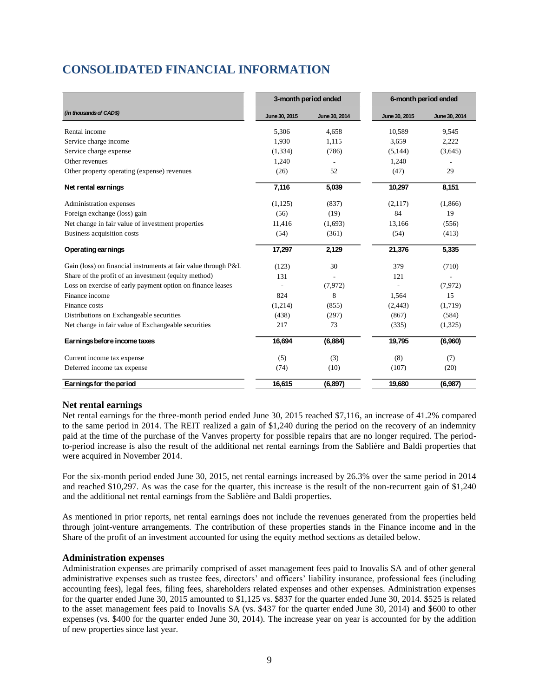## **CONSOLIDATED FINANCIAL INFORMATION**

|                                                                | 3-month period ended |               |               | 6-month period ended |  |  |
|----------------------------------------------------------------|----------------------|---------------|---------------|----------------------|--|--|
| (in thousands of CAD\$)                                        | June 30, 2015        | June 30, 2014 | June 30, 2015 | June 30, 2014        |  |  |
| Rental income                                                  | 5,306                | 4,658         | 10,589        | 9,545                |  |  |
| Service charge income                                          | 1,930                | 1,115         | 3,659         | 2,222                |  |  |
| Service charge expense                                         | (1, 334)             | (786)         | (5, 144)      | (3,645)              |  |  |
| Other revenues                                                 | 1,240                |               | 1,240         |                      |  |  |
| Other property operating (expense) revenues                    | (26)                 | 52            | (47)          | 29                   |  |  |
| Net rental earnings                                            | 7,116                | 5,039         | 10,297        | 8,151                |  |  |
| Administration expenses                                        | (1,125)              | (837)         | (2,117)       | (1,866)              |  |  |
| Foreign exchange (loss) gain                                   | (56)                 | (19)          | 84            | 19                   |  |  |
| Net change in fair value of investment properties              | 11,416               | (1,693)       | 13,166        | (556)                |  |  |
| Business acquisition costs                                     | (54)                 | (361)         | (54)          | (413)                |  |  |
| Operating earnings                                             | 17,297               | 2,129         | 21,376        | 5,335                |  |  |
| Gain (loss) on financial instruments at fair value through P&L | (123)                | 30            | 379           | (710)                |  |  |
| Share of the profit of an investment (equity method)           | 131                  |               | 121           |                      |  |  |
| Loss on exercise of early payment option on finance leases     |                      | (7, 972)      |               | (7,972)              |  |  |
| Finance income                                                 | 824                  | 8             | 1,564         | 15                   |  |  |
| Finance costs                                                  | (1,214)              | (855)         | (2, 443)      | (1,719)              |  |  |
| Distributions on Exchangeable securities                       | (438)                | (297)         | (867)         | (584)                |  |  |
| Net change in fair value of Exchangeable securities            | 217                  | 73            | (335)         | (1,325)              |  |  |
| Earnings before income taxes                                   | 16,694               | (6, 884)      | 19,795        | (6,960)              |  |  |
| Current income tax expense                                     | (5)                  | (3)           | (8)           | (7)                  |  |  |
| Deferred income tax expense                                    | (74)                 | (10)          | (107)         | (20)                 |  |  |
| Earnings for the period                                        | 16,615               | (6, 897)      | 19,680        | (6,987)              |  |  |

#### **Net rental earnings**

Net rental earnings for the three-month period ended June 30, 2015 reached \$7,116, an increase of 41.2% compared to the same period in 2014. The REIT realized a gain of \$1,240 during the period on the recovery of an indemnity paid at the time of the purchase of the Vanves property for possible repairs that are no longer required. The periodto-period increase is also the result of the additional net rental earnings from the Sablière and Baldi properties that were acquired in November 2014.

For the six-month period ended June 30, 2015, net rental earnings increased by 26.3% over the same period in 2014 and reached \$10,297. As was the case for the quarter, this increase is the result of the non-recurrent gain of \$1,240 and the additional net rental earnings from the Sablière and Baldi properties.

As mentioned in prior reports, net rental earnings does not include the revenues generated from the properties held through joint-venture arrangements. The contribution of these properties stands in the Finance income and in the Share of the profit of an investment accounted for using the equity method sections as detailed below.

#### **Administration expenses**

Administration expenses are primarily comprised of asset management fees paid to Inovalis SA and of other general administrative expenses such as trustee fees, directors' and officers' liability insurance, professional fees (including accounting fees), legal fees, filing fees, shareholders related expenses and other expenses. Administration expenses for the quarter ended June 30, 2015 amounted to \$1,125 vs. \$837 for the quarter ended June 30, 2014. \$525 is related to the asset management fees paid to Inovalis SA (vs. \$437 for the quarter ended June 30, 2014) and \$600 to other expenses (vs. \$400 for the quarter ended June 30, 2014). The increase year on year is accounted for by the addition of new properties since last year.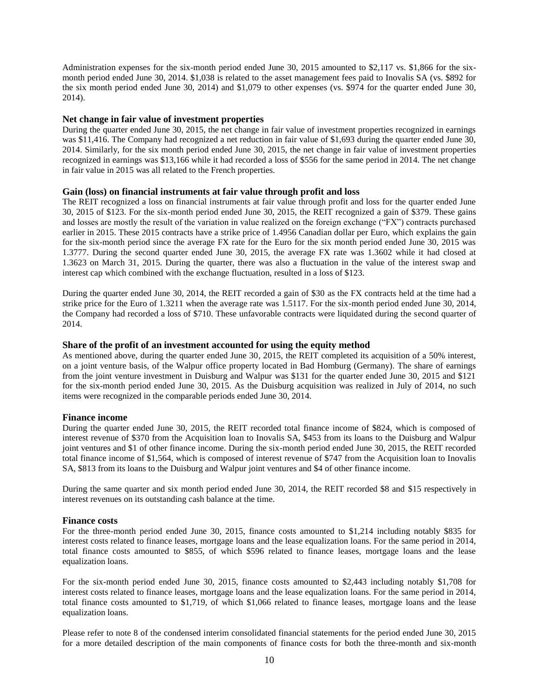Administration expenses for the six-month period ended June 30, 2015 amounted to \$2,117 vs. \$1,866 for the sixmonth period ended June 30, 2014. \$1,038 is related to the asset management fees paid to Inovalis SA (vs. \$892 for the six month period ended June 30, 2014) and \$1,079 to other expenses (vs. \$974 for the quarter ended June 30, 2014).

#### **Net change in fair value of investment properties**

During the quarter ended June 30, 2015, the net change in fair value of investment properties recognized in earnings was \$11,416. The Company had recognized a net reduction in fair value of \$1,693 during the quarter ended June 30, 2014. Similarly, for the six month period ended June 30, 2015, the net change in fair value of investment properties recognized in earnings was \$13,166 while it had recorded a loss of \$556 for the same period in 2014. The net change in fair value in 2015 was all related to the French properties.

#### **Gain (loss) on financial instruments at fair value through profit and loss**

The REIT recognized a loss on financial instruments at fair value through profit and loss for the quarter ended June 30, 2015 of \$123. For the six-month period ended June 30, 2015, the REIT recognized a gain of \$379. These gains and losses are mostly the result of the variation in value realized on the foreign exchange ("FX") contracts purchased earlier in 2015. These 2015 contracts have a strike price of 1.4956 Canadian dollar per Euro, which explains the gain for the six-month period since the average FX rate for the Euro for the six month period ended June 30, 2015 was 1.3777. During the second quarter ended June 30, 2015, the average FX rate was 1.3602 while it had closed at 1.3623 on March 31, 2015. During the quarter, there was also a fluctuation in the value of the interest swap and interest cap which combined with the exchange fluctuation, resulted in a loss of \$123.

During the quarter ended June 30, 2014, the REIT recorded a gain of \$30 as the FX contracts held at the time had a strike price for the Euro of 1.3211 when the average rate was 1.5117. For the six-month period ended June 30, 2014, the Company had recorded a loss of \$710. These unfavorable contracts were liquidated during the second quarter of 2014.

#### **Share of the profit of an investment accounted for using the equity method**

As mentioned above, during the quarter ended June 30, 2015, the REIT completed its acquisition of a 50% interest, on a joint venture basis, of the Walpur office property located in Bad Homburg (Germany). The share of earnings from the joint venture investment in Duisburg and Walpur was \$131 for the quarter ended June 30, 2015 and \$121 for the six-month period ended June 30, 2015. As the Duisburg acquisition was realized in July of 2014, no such items were recognized in the comparable periods ended June 30, 2014.

#### **Finance income**

During the quarter ended June 30, 2015, the REIT recorded total finance income of \$824, which is composed of interest revenue of \$370 from the Acquisition loan to Inovalis SA, \$453 from its loans to the Duisburg and Walpur joint ventures and \$1 of other finance income. During the six-month period ended June 30, 2015, the REIT recorded total finance income of \$1,564, which is composed of interest revenue of \$747 from the Acquisition loan to Inovalis SA, \$813 from its loans to the Duisburg and Walpur joint ventures and \$4 of other finance income.

During the same quarter and six month period ended June 30, 2014, the REIT recorded \$8 and \$15 respectively in interest revenues on its outstanding cash balance at the time.

#### **Finance costs**

For the three-month period ended June 30, 2015, finance costs amounted to \$1,214 including notably \$835 for interest costs related to finance leases, mortgage loans and the lease equalization loans. For the same period in 2014, total finance costs amounted to \$855, of which \$596 related to finance leases, mortgage loans and the lease equalization loans.

For the six-month period ended June 30, 2015, finance costs amounted to \$2,443 including notably \$1,708 for interest costs related to finance leases, mortgage loans and the lease equalization loans. For the same period in 2014, total finance costs amounted to \$1,719, of which \$1,066 related to finance leases, mortgage loans and the lease equalization loans.

Please refer to note 8 of the condensed interim consolidated financial statements for the period ended June 30, 2015 for a more detailed description of the main components of finance costs for both the three-month and six-month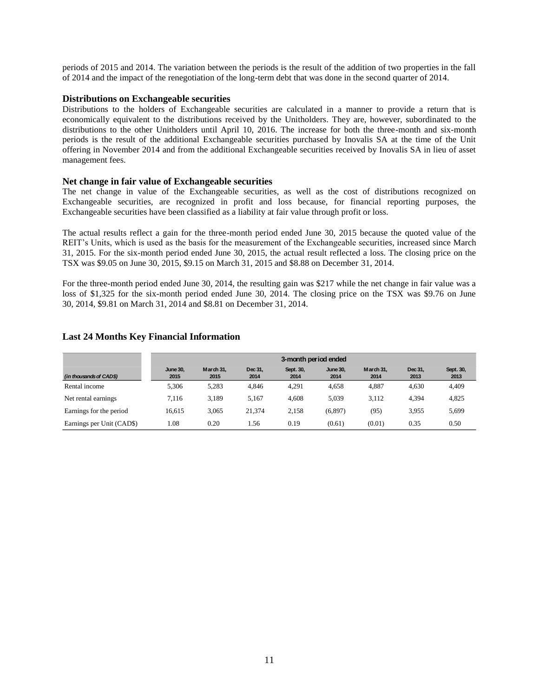periods of 2015 and 2014. The variation between the periods is the result of the addition of two properties in the fall of 2014 and the impact of the renegotiation of the long-term debt that was done in the second quarter of 2014.

#### **Distributions on Exchangeable securities**

Distributions to the holders of Exchangeable securities are calculated in a manner to provide a return that is economically equivalent to the distributions received by the Unitholders. They are, however, subordinated to the distributions to the other Unitholders until April 10, 2016. The increase for both the three-month and six-month periods is the result of the additional Exchangeable securities purchased by Inovalis SA at the time of the Unit offering in November 2014 and from the additional Exchangeable securities received by Inovalis SA in lieu of asset management fees.

#### **Net change in fair value of Exchangeable securities**

The net change in value of the Exchangeable securities, as well as the cost of distributions recognized on Exchangeable securities, are recognized in profit and loss because, for financial reporting purposes, the Exchangeable securities have been classified as a liability at fair value through profit or loss.

The actual results reflect a gain for the three-month period ended June 30, 2015 because the quoted value of the REIT's Units, which is used as the basis for the measurement of the Exchangeable securities, increased since March 31, 2015. For the six-month period ended June 30, 2015, the actual result reflected a loss. The closing price on the TSX was \$9.05 on June 30, 2015, \$9.15 on March 31, 2015 and \$8.88 on December 31, 2014.

For the three-month period ended June 30, 2014, the resulting gain was \$217 while the net change in fair value was a loss of \$1,325 for the six-month period ended June 30, 2014. The closing price on the TSX was \$9.76 on June 30, 2014, \$9.81 on March 31, 2014 and \$8.81 on December 31, 2014.

#### **Last 24 Months Key Financial Information**

|                           | 3-month period ended    |                   |                 |                   |                         |                   |                 |                   |
|---------------------------|-------------------------|-------------------|-----------------|-------------------|-------------------------|-------------------|-----------------|-------------------|
| (in thousands of CAD\$)   | <b>June 30.</b><br>2015 | March 31.<br>2015 | Dec 31.<br>2014 | Sept. 30,<br>2014 | <b>June 30.</b><br>2014 | March 31.<br>2014 | Dec 31.<br>2013 | Sept. 30,<br>2013 |
| Rental income             | 5.306                   | 5.283             | 4.846           | 4.291             | 4,658                   | 4.887             | 4.630           | 4,409             |
| Net rental earnings.      | 7.116                   | 3.189             | 5.167           | 4.608             | 5.039                   | 3.112             | 4.394           | 4,825             |
| Earnings for the period   | 16.615                  | 3.065             | 21.374          | 2,158             | (6,897)                 | (95)              | 3.955           | 5,699             |
| Earnings per Unit (CAD\$) | 1.08                    | 0.20              | 1.56            | 0.19              | (0.61)                  | (0.01)            | 0.35            | 0.50              |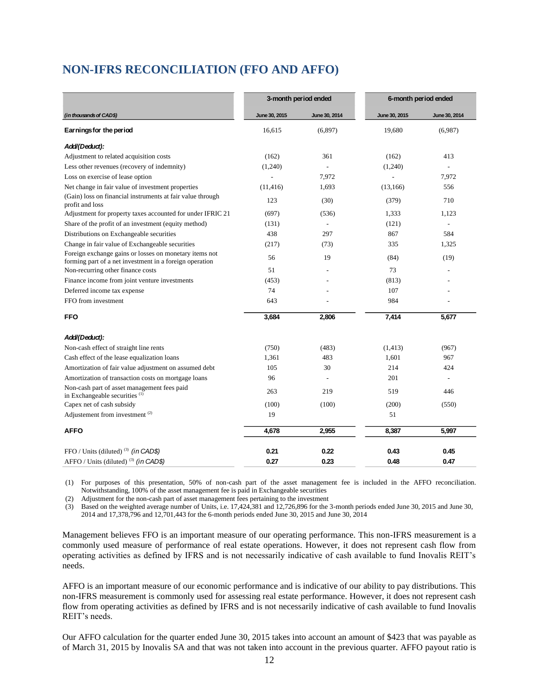## **NON-IFRS RECONCILIATION (FFO AND AFFO)**

|                                                                                                                   | 3-month period ended |                          |               | 6-month period ended     |
|-------------------------------------------------------------------------------------------------------------------|----------------------|--------------------------|---------------|--------------------------|
| (in thousands of CAD\$)                                                                                           | June 30, 2015        | June 30, 2014            | June 30, 2015 | June 30, 2014            |
| Earnings for the period                                                                                           | 16.615               | (6,897)                  | 19.680        | (6,987)                  |
| Add/(Deduct):                                                                                                     |                      |                          |               |                          |
| Adjustment to related acquisition costs                                                                           | (162)                | 361                      | (162)         | 413                      |
| Less other revenues (recovery of indemnity)                                                                       | (1,240)              |                          | (1,240)       | $\overline{a}$           |
| Loss on exercise of lease option                                                                                  |                      | 7,972                    |               | 7,972                    |
| Net change in fair value of investment properties                                                                 | (11, 416)            | 1,693                    | (13,166)      | 556                      |
| (Gain) loss on financial instruments at fair value through<br>profit and loss                                     | 123                  | (30)                     | (379)         | 710                      |
| Adjustment for property taxes accounted for under IFRIC 21                                                        | (697)                | (536)                    | 1,333         | 1,123                    |
| Share of the profit of an investment (equity method)                                                              | (131)                | $\overline{\phantom{a}}$ | (121)         | $\overline{a}$           |
| Distributions on Exchangeable securities                                                                          | 438                  | 297                      | 867           | 584                      |
| Change in fair value of Exchangeable securities                                                                   | (217)                | (73)                     | 335           | 1,325                    |
| Foreign exchange gains or losses on monetary items not<br>forming part of a net investment in a foreign operation | 56                   | 19                       | (84)          | (19)                     |
| Non-recurring other finance costs                                                                                 | 51                   |                          | 73            |                          |
| Finance income from joint venture investments                                                                     | (453)                |                          | (813)         |                          |
| Deferred income tax expense                                                                                       | 74                   |                          | 107           |                          |
| FFO from investment                                                                                               | 643                  |                          | 984           |                          |
| <b>FFO</b>                                                                                                        | 3,684                | 2,806                    | 7,414         | 5,677                    |
| Add/(Deduct):                                                                                                     |                      |                          |               |                          |
| Non-cash effect of straight line rents                                                                            | (750)                | (483)                    | (1, 413)      | (967)                    |
| Cash effect of the lease equalization loans                                                                       | 1,361                | 483                      | 1,601         | 967                      |
| Amortization of fair value adjustment on assumed debt                                                             | 105                  | 30                       | 214           | 424                      |
| Amortization of transaction costs on mortgage loans                                                               | 96                   |                          | 201           | $\overline{\phantom{a}}$ |
| Non-cash part of asset management fees paid<br>in Exchangeable securities <sup>(1)</sup>                          | 263                  | 219                      | 519           | 446                      |
| Capex net of cash subsidy                                                                                         | (100)                | (100)                    | (200)         | (550)                    |
| Adjustement from investment <sup>(2)</sup>                                                                        | 19                   |                          | 51            |                          |
| <b>AFFO</b>                                                                                                       | 4,678                | 2,955                    | 8,387         | 5,997                    |
| FFO / Units (diluted) <sup>(3)</sup> (in CAD\$)                                                                   | 0.21                 | 0.22                     | 0.43          | 0.45                     |
| AFFO / Units (diluted) $^{(3)}$ (in CAD\$)                                                                        | 0.27                 | 0.23                     | 0.48          | 0.47                     |

(1) For purposes of this presentation, 50% of non-cash part of the asset management fee is included in the AFFO reconciliation. Notwithstanding, 100% of the asset management fee is paid in Exchangeable securities

(2) Adjustment for the non-cash part of asset management fees pertaining to the investment

(3) Based on the weighted average number of Units, i.e. 17,424,381 and 12,726,896 for the 3-month periods ended June 30, 2015 and June 30, 2014 and 17,378,796 and 12,701,443 for the 6-month periods ended June 30, 2015 and June 30, 2014

Management believes FFO is an important measure of our operating performance. This non-IFRS measurement is a commonly used measure of performance of real estate operations. However, it does not represent cash flow from operating activities as defined by IFRS and is not necessarily indicative of cash available to fund Inovalis REIT's needs.

AFFO is an important measure of our economic performance and is indicative of our ability to pay distributions. This non-IFRS measurement is commonly used for assessing real estate performance. However, it does not represent cash flow from operating activities as defined by IFRS and is not necessarily indicative of cash available to fund Inovalis REIT's needs.

Our AFFO calculation for the quarter ended June 30, 2015 takes into account an amount of \$423 that was payable as of March 31, 2015 by Inovalis SA and that was not taken into account in the previous quarter. AFFO payout ratio is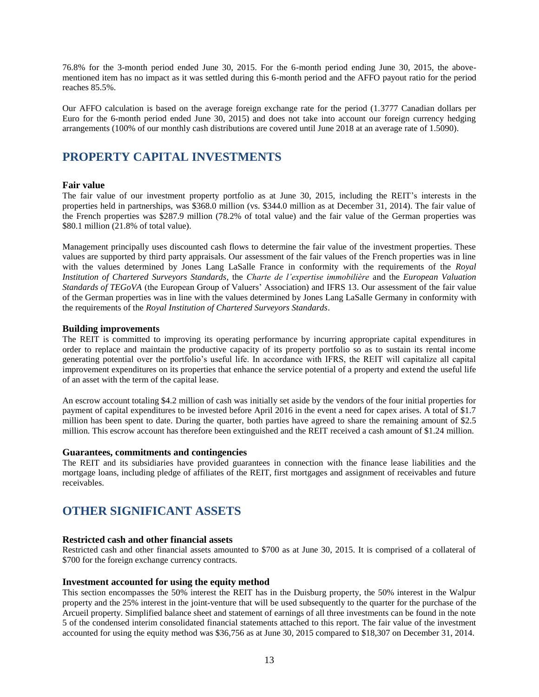76.8% for the 3-month period ended June 30, 2015. For the 6-month period ending June 30, 2015, the abovementioned item has no impact as it was settled during this 6-month period and the AFFO payout ratio for the period reaches 85.5%.

Our AFFO calculation is based on the average foreign exchange rate for the period (1.3777 Canadian dollars per Euro for the 6-month period ended June 30, 2015) and does not take into account our foreign currency hedging arrangements (100% of our monthly cash distributions are covered until June 2018 at an average rate of 1.5090).

## **PROPERTY CAPITAL INVESTMENTS**

#### **Fair value**

The fair value of our investment property portfolio as at June 30, 2015, including the REIT's interests in the properties held in partnerships, was \$368.0 million (vs. \$344.0 million as at December 31, 2014). The fair value of the French properties was \$287.9 million (78.2% of total value) and the fair value of the German properties was \$80.1 million (21.8% of total value).

Management principally uses discounted cash flows to determine the fair value of the investment properties. These values are supported by third party appraisals. Our assessment of the fair values of the French properties was in line with the values determined by Jones Lang LaSalle France in conformity with the requirements of the *Royal Institution of Chartered Surveyors Standards*, the *Charte de l'expertise immobilière* and the *European Valuation Standards of TEGoVA* (the European Group of Valuers' Association) and IFRS 13. Our assessment of the fair value of the German properties was in line with the values determined by Jones Lang LaSalle Germany in conformity with the requirements of the *Royal Institution of Chartered Surveyors Standards*.

#### **Building improvements**

The REIT is committed to improving its operating performance by incurring appropriate capital expenditures in order to replace and maintain the productive capacity of its property portfolio so as to sustain its rental income generating potential over the portfolio's useful life. In accordance with IFRS, the REIT will capitalize all capital improvement expenditures on its properties that enhance the service potential of a property and extend the useful life of an asset with the term of the capital lease.

An escrow account totaling \$4.2 million of cash was initially set aside by the vendors of the four initial properties for payment of capital expenditures to be invested before April 2016 in the event a need for capex arises. A total of \$1.7 million has been spent to date. During the quarter, both parties have agreed to share the remaining amount of \$2.5 million. This escrow account has therefore been extinguished and the REIT received a cash amount of \$1.24 million.

#### **Guarantees, commitments and contingencies**

The REIT and its subsidiaries have provided guarantees in connection with the finance lease liabilities and the mortgage loans, including pledge of affiliates of the REIT, first mortgages and assignment of receivables and future receivables.

## **OTHER SIGNIFICANT ASSETS**

#### **Restricted cash and other financial assets**

Restricted cash and other financial assets amounted to \$700 as at June 30, 2015. It is comprised of a collateral of \$700 for the foreign exchange currency contracts.

#### **Investment accounted for using the equity method**

This section encompasses the 50% interest the REIT has in the Duisburg property, the 50% interest in the Walpur property and the 25% interest in the joint-venture that will be used subsequently to the quarter for the purchase of the Arcueil property. Simplified balance sheet and statement of earnings of all three investments can be found in the note 5 of the condensed interim consolidated financial statements attached to this report. The fair value of the investment accounted for using the equity method was \$36,756 as at June 30, 2015 compared to \$18,307 on December 31, 2014.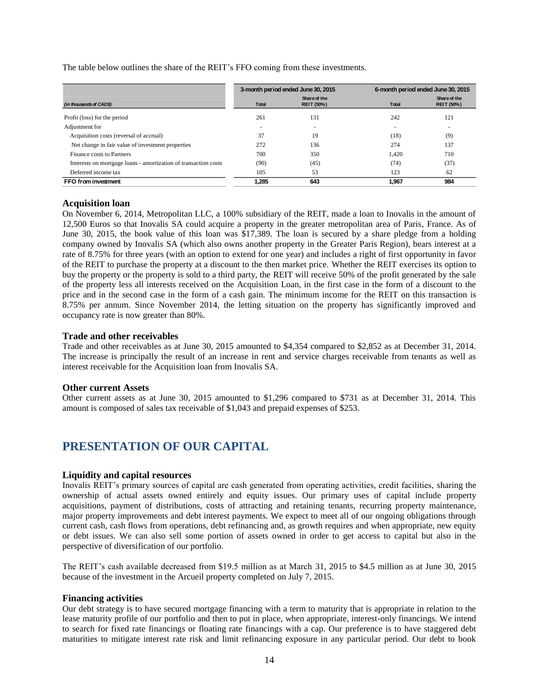|                                                                 |              | 3-month period ended June 30, 2015 |                          | 6-month period ended June 30, 2015 |
|-----------------------------------------------------------------|--------------|------------------------------------|--------------------------|------------------------------------|
| (in thousands of CADS)                                          | <b>Total</b> | Share of the<br><b>REIT (50%)</b>  | Total                    | Share of the<br><b>REIT (50%)</b>  |
| Profit (loss) for the period                                    | 261          | 131                                | 242                      | 121                                |
| Adjustment for                                                  | ۰            | $\overline{\phantom{a}}$           | $\overline{\phantom{a}}$ | $\overline{\phantom{a}}$           |
| Acquisition costs (reversal of accrual)                         | 37           | 19                                 | (18)                     | (9)                                |
| Net change in fair value of investment properties               | 272          | 136                                | 274                      | 137                                |
| Finance costs to Partners                                       | 700          | 350                                | 1.420                    | 710                                |
| Interests on mortgage loans - amortization of transaction costs | (90)         | (45)                               | (74)                     | (37)                               |
| Deferred income tax                                             | 105          | 53                                 | 123                      | 62                                 |
| FFO from investment                                             | 1.285        | 643                                | 1.967                    | 984                                |

The table below outlines the share of the REIT's FFO coming from these investments.

#### **Acquisition loan**

On November 6, 2014, Metropolitan LLC, a 100% subsidiary of the REIT, made a loan to Inovalis in the amount of 12,500 Euros so that Inovalis SA could acquire a property in the greater metropolitan area of Paris, France. As of June 30, 2015, the book value of this loan was \$17,389. The loan is secured by a share pledge from a holding company owned by Inovalis SA (which also owns another property in the Greater Paris Region), bears interest at a rate of 8.75% for three years (with an option to extend for one year) and includes a right of first opportunity in favor of the REIT to purchase the property at a discount to the then market price. Whether the REIT exercises its option to buy the property or the property is sold to a third party, the REIT will receive 50% of the profit generated by the sale of the property less all interests received on the Acquisition Loan, in the first case in the form of a discount to the price and in the second case in the form of a cash gain. The minimum income for the REIT on this transaction is 8.75% per annum. Since November 2014, the letting situation on the property has significantly improved and occupancy rate is now greater than 80%. maturities to mitigate interest rate and limit refinancial and limit refinancial and limit refinancial and limit refinancial and limit refinancial and limit refinancial period in any particular period in any particular per

#### **Trade and other receivables**

Trade and other receivables as at June 30, 2015 amounted to \$4,354 compared to \$2,852 as at December 31, 2014. The increase is principally the result of an increase in rent and service charges receivable from tenants as well as interest receivable for the Acquisition loan from Inovalis SA.

#### **Other current Assets**

Other current assets as at June 30, 2015 amounted to \$1,296 compared to \$731 as at December 31, 2014. This amount is composed of sales tax receivable of \$1,043 and prepaid expenses of \$253.

## **PRESENTATION OF OUR CAPITAL**

#### **Liquidity and capital resources**

Inovalis REIT's primary sources of capital are cash generated from operating activities, credit facilities, sharing the ownership of actual assets owned entirely and equity issues. Our primary uses of capital include property acquisitions, payment of distributions, costs of attracting and retaining tenants, recurring property maintenance, major property improvements and debt interest payments. We expect to meet all of our ongoing obligations through current cash, cash flows from operations, debt refinancing and, as growth requires and when appropriate, new equity or debt issues. We can also sell some portion of assets owned in order to get access to capital but also in the perspective of diversification of our portfolio.

The REIT's cash available decreased from \$19.5 million as at March 31, 2015 to \$4.5 million as at June 30, 2015 because of the investment in the Arcueil property completed on July 7, 2015.

#### **Financing activities**

Our debt strategy is to have secured mortgage financing with a term to maturity that is appropriate in relation to the lease maturity profile of our portfolio and then to put in place, when appropriate, interest-only financings. We intend to search for fixed rate financings or floating rate financings with a cap. Our preference is to have staggered debt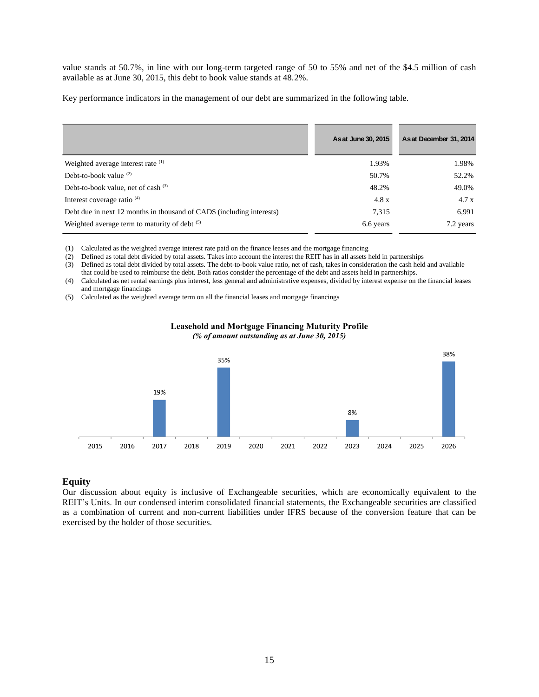value stands at 50.7%, in line with our long-term targeted range of 50 to 55% and net of the \$4.5 million of cash available as at June 30, 2015, this debt to book value stands at 48.2%.

Key performance indicators in the management of our debt are summarized in the following table.

|                                                                       | As at June 30, 2015 | As at December 31, 2014 |
|-----------------------------------------------------------------------|---------------------|-------------------------|
| Weighted average interest rate <sup>(1)</sup>                         | 1.93%               | 1.98%                   |
| Debt-to-book value $(2)$                                              | 50.7%               | 52.2%                   |
| Debt-to-book value, net of cash (3)                                   | 48.2%               | 49.0%                   |
| Interest coverage ratio <sup>(4)</sup>                                | 4.8 x               | 4.7x                    |
| Debt due in next 12 months in thousand of CAD\$ (including interests) | 7,315               | 6,991                   |
| Weighted average term to maturity of debt (5)                         | 6.6 years           | 7.2 years               |

(1) Calculated as the weighted average interest rate paid on the finance leases and the mortgage financing

(2) Defined as total debt divided by total assets. Takes into account the interest the REIT has in all assets held in partnerships

(3) Defined as total debt divided by total assets. The debt-to-book value ratio, net of cash, takes in consideration the cash held and available that could be used to reimburse the debt. Both ratios consider the percentage of the debt and assets held in partnerships.

(4) Calculated as net rental earnings plus interest, less general and administrative expenses, divided by interest expense on the financial leases and mortgage financings

(5) Calculated as the weighted average term on all the financial leases and mortgage financings



#### **Leasehold and Mortgage Financing Maturity Profile** *(% of amount outstanding as at June 30, 2015)*

#### **Equity**

Our discussion about equity is inclusive of Exchangeable securities, which are economically equivalent to the REIT's Units. In our condensed interim consolidated financial statements, the Exchangeable securities are classified as a combination of current and non-current liabilities under IFRS because of the conversion feature that can be exercised by the holder of those securities.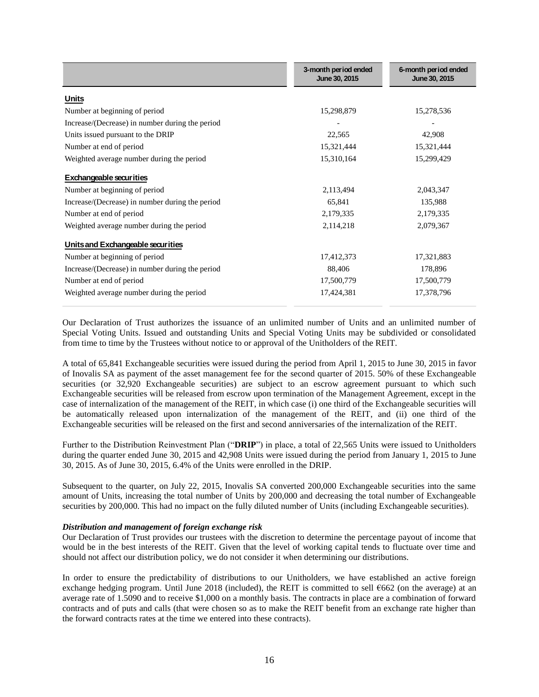|                                                 | 3-month period ended<br>June 30, 2015 | 6-month period ended<br>June 30, 2015 |
|-------------------------------------------------|---------------------------------------|---------------------------------------|
| <b>Units</b>                                    |                                       |                                       |
| Number at beginning of period                   | 15,298,879                            | 15,278,536                            |
| Increase/(Decrease) in number during the period |                                       |                                       |
| Units issued pursuant to the DRIP               | 22,565                                | 42,908                                |
| Number at end of period                         | 15,321,444                            | 15,321,444                            |
| Weighted average number during the period       | 15,310,164                            | 15,299,429                            |
| <b>Exchangeable securities</b>                  |                                       |                                       |
| Number at beginning of period                   | 2,113,494                             | 2,043,347                             |
| Increase/(Decrease) in number during the period | 65,841                                | 135,988                               |
| Number at end of period                         | 2,179,335                             | 2,179,335                             |
| Weighted average number during the period       | 2,114,218                             | 2,079,367                             |
| Units and Exchangeable securities               |                                       |                                       |
| Number at beginning of period                   | 17,412,373                            | 17,321,883                            |
| Increase/(Decrease) in number during the period | 88,406                                | 178,896                               |
| Number at end of period                         | 17,500,779                            | 17,500,779                            |
| Weighted average number during the period       | 17,424,381                            | 17,378,796                            |

Our Declaration of Trust authorizes the issuance of an unlimited number of Units and an unlimited number of Special Voting Units. Issued and outstanding Units and Special Voting Units may be subdivided or consolidated from time to time by the Trustees without notice to or approval of the Unitholders of the REIT.

A total of 65,841 Exchangeable securities were issued during the period from April 1, 2015 to June 30, 2015 in favor of Inovalis SA as payment of the asset management fee for the second quarter of 2015. 50% of these Exchangeable securities (or 32,920 Exchangeable securities) are subject to an escrow agreement pursuant to which such Exchangeable securities will be released from escrow upon termination of the Management Agreement, except in the case of internalization of the management of the REIT, in which case (i) one third of the Exchangeable securities will be automatically released upon internalization of the management of the REIT, and (ii) one third of the Exchangeable securities will be released on the first and second anniversaries of the internalization of the REIT.

Further to the Distribution Reinvestment Plan ("**DRIP**") in place, a total of 22,565 Units were issued to Unitholders during the quarter ended June 30, 2015 and 42,908 Units were issued during the period from January 1, 2015 to June 30, 2015. As of June 30, 2015, 6.4% of the Units were enrolled in the DRIP.

Subsequent to the quarter, on July 22, 2015, Inovalis SA converted 200,000 Exchangeable securities into the same amount of Units, increasing the total number of Units by 200,000 and decreasing the total number of Exchangeable securities by 200,000. This had no impact on the fully diluted number of Units (including Exchangeable securities).

#### *Distribution and management of foreign exchange risk*

Our Declaration of Trust provides our trustees with the discretion to determine the percentage payout of income that would be in the best interests of the REIT. Given that the level of working capital tends to fluctuate over time and should not affect our distribution policy, we do not consider it when determining our distributions.

In order to ensure the predictability of distributions to our Unitholders, we have established an active foreign exchange hedging program. Until June 2018 (included), the REIT is committed to sell €662 (on the average) at an average rate of 1.5090 and to receive \$1,000 on a monthly basis. The contracts in place are a combination of forward contracts and of puts and calls (that were chosen so as to make the REIT benefit from an exchange rate higher than the forward contracts rates at the time we entered into these contracts).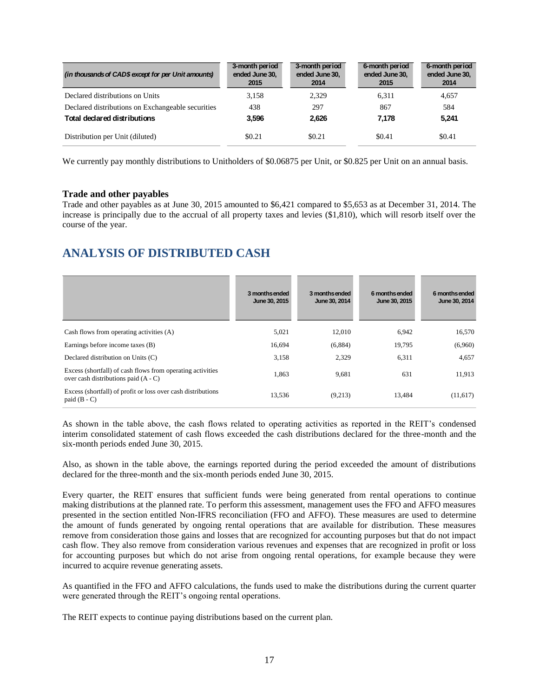| (in thousands of CAD\$ except for per Unit amounts) | 3-month period<br>ended June 30,<br>2015 | 3-month period<br>ended June 30,<br>2014 | 6-month period<br>ended June 30,<br>2015 | 6-month period<br>ended June 30,<br>2014 |
|-----------------------------------------------------|------------------------------------------|------------------------------------------|------------------------------------------|------------------------------------------|
| Declared distributions on Units                     | 3,158                                    | 2,329                                    | 6.311                                    | 4,657                                    |
| Declared distributions on Exchangeable securities   | 438                                      | 297                                      | 867                                      | 584                                      |
| <b>Total declared distributions</b>                 | 3.596                                    | 2.626                                    | 7.178                                    | 5,241                                    |
| Distribution per Unit (diluted)                     | \$0.21                                   | \$0.21                                   | \$0.41                                   | \$0.41                                   |

We currently pay monthly distributions to Unitholders of \$0.06875 per Unit, or \$0.825 per Unit on an annual basis.

#### **Trade and other payables**

Trade and other payables as at June 30, 2015 amounted to \$6,421 compared to \$5,653 as at December 31, 2014. The increase is principally due to the accrual of all property taxes and levies (\$1,810), which will resorb itself over the course of the year.

## **ANALYSIS OF DISTRIBUTED CASH**

|                                                                                                    | 3 monthsended<br>June 30, 2015 | 3 months ended<br>June 30, 2014 | 6 months ended<br>June 30, 2015 | 6 months ended<br>June 30, 2014 |
|----------------------------------------------------------------------------------------------------|--------------------------------|---------------------------------|---------------------------------|---------------------------------|
| Cash flows from operating activities (A)                                                           | 5,021                          | 12,010                          | 6,942                           | 16,570                          |
| Earnings before income taxes (B)                                                                   | 16.694                         | (6,884)                         | 19,795                          | (6,960)                         |
| Declared distribution on Units (C)                                                                 | 3,158                          | 2,329                           | 6,311                           | 4,657                           |
| Excess (shortfall) of cash flows from operating activities<br>over cash distributions paid (A - C) | 1,863                          | 9,681                           | 631                             | 11.913                          |
| Excess (shortfall) of profit or loss over cash distributions<br>paid $(B - C)$                     | 13,536                         | (9,213)                         | 13,484                          | (11,617)                        |

As shown in the table above, the cash flows related to operating activities as reported in the REIT's condensed interim consolidated statement of cash flows exceeded the cash distributions declared for the three-month and the six-month periods ended June 30, 2015.

Also, as shown in the table above, the earnings reported during the period exceeded the amount of distributions declared for the three-month and the six-month periods ended June 30, 2015.

Every quarter, the REIT ensures that sufficient funds were being generated from rental operations to continue making distributions at the planned rate. To perform this assessment, management uses the FFO and AFFO measures presented in the section entitled Non-IFRS reconciliation (FFO and AFFO). These measures are used to determine the amount of funds generated by ongoing rental operations that are available for distribution. These measures remove from consideration those gains and losses that are recognized for accounting purposes but that do not impact cash flow. They also remove from consideration various revenues and expenses that are recognized in profit or loss for accounting purposes but which do not arise from ongoing rental operations, for example because they were incurred to acquire revenue generating assets.

As quantified in the FFO and AFFO calculations, the funds used to make the distributions during the current quarter were generated through the REIT's ongoing rental operations.

The REIT expects to continue paying distributions based on the current plan.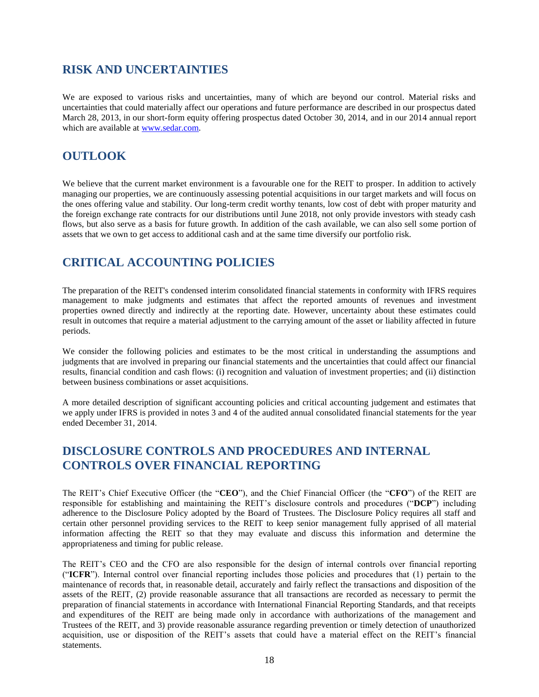## **RISK AND UNCERTAINTIES**

We are exposed to various risks and uncertainties, many of which are beyond our control. Material risks and uncertainties that could materially affect our operations and future performance are described in our prospectus dated March 28, 2013, in our short-form equity offering prospectus dated October 30, 2014, and in our 2014 annual report which are available at [www.sedar.com.](http://www.sedar.com/)

## **OUTLOOK**

We believe that the current market environment is a favourable one for the REIT to prosper. In addition to actively managing our properties, we are continuously assessing potential acquisitions in our target markets and will focus on the ones offering value and stability. Our long-term credit worthy tenants, low cost of debt with proper maturity and the foreign exchange rate contracts for our distributions until June 2018, not only provide investors with steady cash flows, but also serve as a basis for future growth. In addition of the cash available, we can also sell some portion of assets that we own to get access to additional cash and at the same time diversify our portfolio risk.

## **CRITICAL ACCOUNTING POLICIES**

The preparation of the REIT's condensed interim consolidated financial statements in conformity with IFRS requires management to make judgments and estimates that affect the reported amounts of revenues and investment properties owned directly and indirectly at the reporting date. However, uncertainty about these estimates could result in outcomes that require a material adjustment to the carrying amount of the asset or liability affected in future periods.

We consider the following policies and estimates to be the most critical in understanding the assumptions and judgments that are involved in preparing our financial statements and the uncertainties that could affect our financial results, financial condition and cash flows: (i) recognition and valuation of investment properties; and (ii) distinction between business combinations or asset acquisitions.

A more detailed description of significant accounting policies and critical accounting judgement and estimates that we apply under IFRS is provided in notes 3 and 4 of the audited annual consolidated financial statements for the year ended December 31, 2014.

## **DISCLOSURE CONTROLS AND PROCEDURES AND INTERNAL CONTROLS OVER FINANCIAL REPORTING**

The REIT's Chief Executive Officer (the "**CEO**"), and the Chief Financial Officer (the "**CFO**") of the REIT are responsible for establishing and maintaining the REIT's disclosure controls and procedures ("**DCP**") including adherence to the Disclosure Policy adopted by the Board of Trustees. The Disclosure Policy requires all staff and certain other personnel providing services to the REIT to keep senior management fully apprised of all material information affecting the REIT so that they may evaluate and discuss this information and determine the appropriateness and timing for public release.

The REIT's CEO and the CFO are also responsible for the design of internal controls over financial reporting ("**ICFR**"). Internal control over financial reporting includes those policies and procedures that (1) pertain to the maintenance of records that, in reasonable detail, accurately and fairly reflect the transactions and disposition of the assets of the REIT, (2) provide reasonable assurance that all transactions are recorded as necessary to permit the preparation of financial statements in accordance with International Financial Reporting Standards, and that receipts and expenditures of the REIT are being made only in accordance with authorizations of the management and Trustees of the REIT, and 3) provide reasonable assurance regarding prevention or timely detection of unauthorized acquisition, use or disposition of the REIT's assets that could have a material effect on the REIT's financial statements.